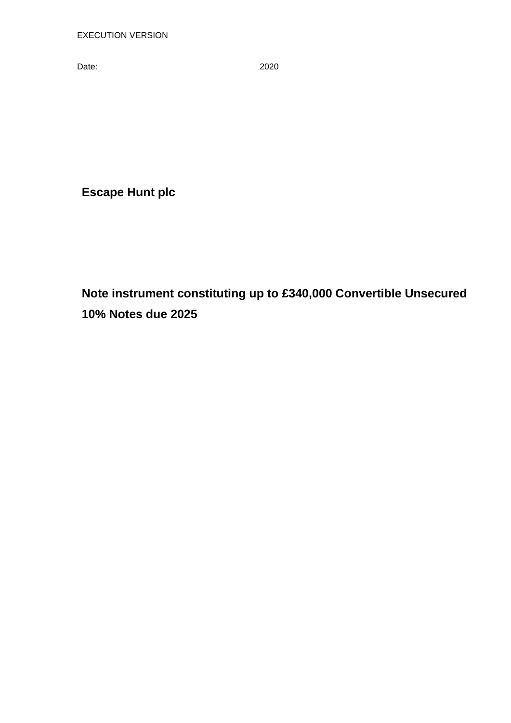Date: 2020

**Escape Hunt plc**

**Note instrument constituting up to £340,000 Convertible Unsecured 10% Notes due 2025**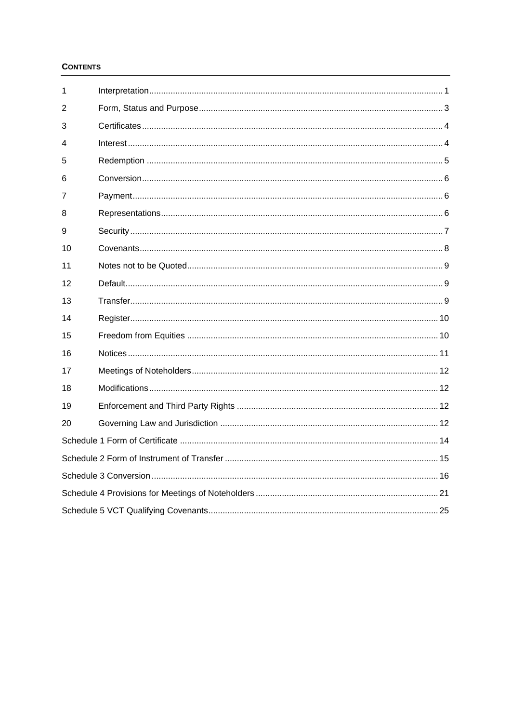# **CONTENTS**

| 1  |  |  |  |  |
|----|--|--|--|--|
| 2  |  |  |  |  |
| 3  |  |  |  |  |
| 4  |  |  |  |  |
| 5  |  |  |  |  |
| 6  |  |  |  |  |
| 7  |  |  |  |  |
| 8  |  |  |  |  |
| 9  |  |  |  |  |
| 10 |  |  |  |  |
| 11 |  |  |  |  |
| 12 |  |  |  |  |
| 13 |  |  |  |  |
| 14 |  |  |  |  |
| 15 |  |  |  |  |
| 16 |  |  |  |  |
| 17 |  |  |  |  |
| 18 |  |  |  |  |
| 19 |  |  |  |  |
| 20 |  |  |  |  |
|    |  |  |  |  |
|    |  |  |  |  |
|    |  |  |  |  |
|    |  |  |  |  |
|    |  |  |  |  |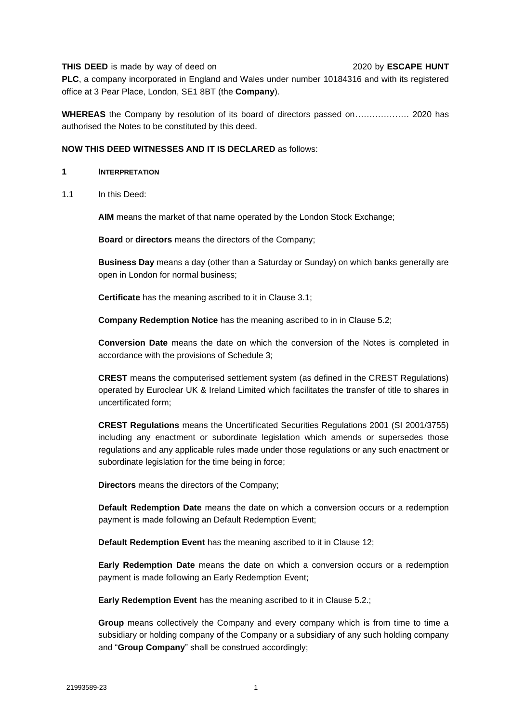#### **THIS DEED** is made by way of deed on 2020 by **ESCAPE HUNT**

**PLC**, a company incorporated in England and Wales under number 10184316 and with its registered office at 3 Pear Place, London, SE1 8BT (the **Company**).

**WHEREAS** the Company by resolution of its board of directors passed on………………. 2020 has authorised the Notes to be constituted by this deed.

# **NOW THIS DEED WITNESSES AND IT IS DECLARED** as follows:

#### **1 INTERPRETATION**

<span id="page-2-0"></span>1.1 In this Deed:

**AIM** means the market of that name operated by the London Stock Exchange;

**Board** or **directors** means the directors of the Company;

**Business Day** means a day (other than a Saturday or Sunday) on which banks generally are open in London for normal business;

**Certificate** has the meaning ascribed to it in Clause [3.1;](#page-5-0)

**Company Redemption Notice** has the meaning ascribed to in in Clause 5.2;

**Conversion Date** means the date on which the conversion of the Notes is completed in accordance with the provisions of Schedule 3;

**CREST** means the computerised settlement system (as defined in the CREST Regulations) operated by Euroclear UK & Ireland Limited which facilitates the transfer of title to shares in uncertificated form;

**CREST Regulations** means the Uncertificated Securities Regulations 2001 (SI 2001/3755) including any enactment or subordinate legislation which amends or supersedes those regulations and any applicable rules made under those regulations or any such enactment or subordinate legislation for the time being in force;

**Directors** means the directors of the Company;

**Default Redemption Date** means the date on which a conversion occurs or a redemption payment is made following an Default Redemption Event;

**Default Redemption Event** has the meaning ascribed to it in Clause 12;

**Early Redemption Date** means the date on which a conversion occurs or a redemption payment is made following an Early Redemption Event;

**Early Redemption Event** has the meaning ascribed to it in Clause 5.2.;

**Group** means collectively the Company and every company which is from time to time a subsidiary or holding company of the Company or a subsidiary of any such holding company and "**Group Company**" shall be construed accordingly;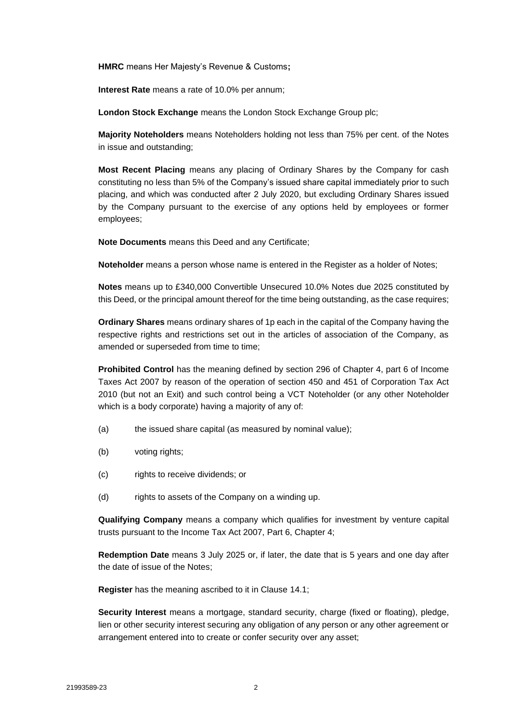**HMRC** means Her Majesty's Revenue & Customs**;**

**Interest Rate** means a rate of 10.0% per annum;

**London Stock Exchange** means the London Stock Exchange Group plc;

**Majority Noteholders** means Noteholders holding not less than 75% per cent. of the Notes in issue and outstanding;

**Most Recent Placing** means any placing of Ordinary Shares by the Company for cash constituting no less than 5% of the Company's issued share capital immediately prior to such placing, and which was conducted after 2 July 2020, but excluding Ordinary Shares issued by the Company pursuant to the exercise of any options held by employees or former employees;

**Note Documents** means this Deed and any Certificate;

**Noteholder** means a person whose name is entered in the Register as a holder of Notes;

**Notes** means up to £340,000 Convertible Unsecured 10.0% Notes due 2025 constituted by this Deed, or the principal amount thereof for the time being outstanding, as the case requires;

**Ordinary Shares** means ordinary shares of 1p each in the capital of the Company having the respective rights and restrictions set out in the articles of association of the Company, as amended or superseded from time to time;

**Prohibited Control** has the meaning defined by section 296 of Chapter 4, part 6 of Income Taxes Act 2007 by reason of the operation of section 450 and 451 of Corporation Tax Act 2010 (but not an Exit) and such control being a VCT Noteholder (or any other Noteholder which is a body corporate) having a majority of any of:

- (a) the issued share capital (as measured by nominal value);
- (b) voting rights;
- (c) rights to receive dividends; or
- (d) rights to assets of the Company on a winding up.

**Qualifying Company** means a company which qualifies for investment by venture capital trusts pursuant to the Income Tax Act 2007, Part 6, Chapter 4;

**Redemption Date** means 3 July 2025 or, if later, the date that is 5 years and one day after the date of issue of the Notes;

**Register** has the meaning ascribed to it in Clause [14.1;](#page-11-0)

**Security Interest** means a mortgage, standard security, charge (fixed or floating), pledge, lien or other security interest securing any obligation of any person or any other agreement or arrangement entered into to create or confer security over any asset;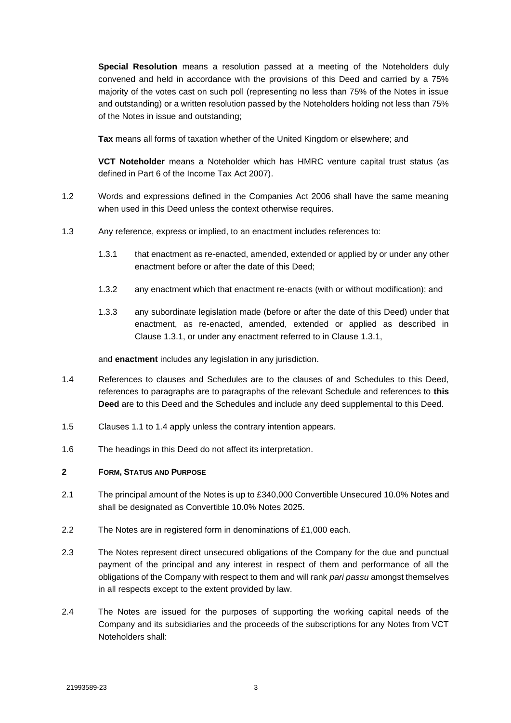**Special Resolution** means a resolution passed at a meeting of the Noteholders duly convened and held in accordance with the provisions of this Deed and carried by a 75% majority of the votes cast on such poll (representing no less than 75% of the Notes in issue and outstanding) or a written resolution passed by the Noteholders holding not less than 75% of the Notes in issue and outstanding;

**Tax** means all forms of taxation whether of the United Kingdom or elsewhere; and

**VCT Noteholder** means a Noteholder which has HMRC venture capital trust status (as defined in Part 6 of the Income Tax Act 2007).

- 1.2 Words and expressions defined in the Companies Act 2006 shall have the same meaning when used in this Deed unless the context otherwise requires.
- <span id="page-4-0"></span>1.3 Any reference, express or implied, to an enactment includes references to:
	- 1.3.1 that enactment as re-enacted, amended, extended or applied by or under any other enactment before or after the date of this Deed;
	- 1.3.2 any enactment which that enactment re-enacts (with or without modification); and
	- 1.3.3 any subordinate legislation made (before or after the date of this Deed) under that enactment, as re-enacted, amended, extended or applied as described in Clause [1.3.1,](#page-4-0) or under any enactment referred to in Clause [1.3.1,](#page-4-0)

and **enactment** includes any legislation in any jurisdiction.

- <span id="page-4-1"></span>1.4 References to clauses and Schedules are to the clauses of and Schedules to this Deed, references to paragraphs are to paragraphs of the relevant Schedule and references to **this Deed** are to this Deed and the Schedules and include any deed supplemental to this Deed.
- 1.5 Clauses [1.1](#page-2-0) to [1.4](#page-4-1) apply unless the contrary intention appears.
- 1.6 The headings in this Deed do not affect its interpretation.

# **2 FORM, STATUS AND PURPOSE**

- 2.1 The principal amount of the Notes is up to £340,000 Convertible Unsecured 10.0% Notes and shall be designated as Convertible 10.0% Notes 2025.
- 2.2 The Notes are in registered form in denominations of £1,000 each.
- 2.3 The Notes represent direct unsecured obligations of the Company for the due and punctual payment of the principal and any interest in respect of them and performance of all the obligations of the Company with respect to them and will rank *pari passu* amongst themselves in all respects except to the extent provided by law.
- 2.4 The Notes are issued for the purposes of supporting the working capital needs of the Company and its subsidiaries and the proceeds of the subscriptions for any Notes from VCT Noteholders shall: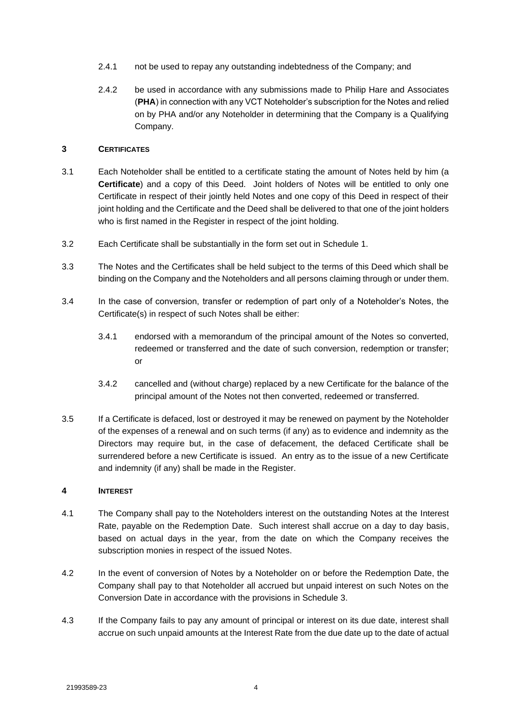- 2.4.1 not be used to repay any outstanding indebtedness of the Company; and
- 2.4.2 be used in accordance with any submissions made to Philip Hare and Associates (**PHA**) in connection with any VCT Noteholder's subscription for the Notes and relied on by PHA and/or any Noteholder in determining that the Company is a Qualifying Company.

# **3 CERTIFICATES**

- <span id="page-5-0"></span>3.1 Each Noteholder shall be entitled to a certificate stating the amount of Notes held by him (a **Certificate**) and a copy of this Deed. Joint holders of Notes will be entitled to only one Certificate in respect of their jointly held Notes and one copy of this Deed in respect of their joint holding and the Certificate and the Deed shall be delivered to that one of the joint holders who is first named in the Register in respect of the joint holding.
- 3.2 Each Certificate shall be substantially in the form set out in [Schedule](#page-15-0) 1.
- 3.3 The Notes and the Certificates shall be held subject to the terms of this Deed which shall be binding on the Company and the Noteholders and all persons claiming through or under them.
- 3.4 In the case of conversion, transfer or redemption of part only of a Noteholder's Notes, the Certificate(s) in respect of such Notes shall be either:
	- 3.4.1 endorsed with a memorandum of the principal amount of the Notes so converted, redeemed or transferred and the date of such conversion, redemption or transfer; or
	- 3.4.2 cancelled and (without charge) replaced by a new Certificate for the balance of the principal amount of the Notes not then converted, redeemed or transferred.
- 3.5 If a Certificate is defaced, lost or destroyed it may be renewed on payment by the Noteholder of the expenses of a renewal and on such terms (if any) as to evidence and indemnity as the Directors may require but, in the case of defacement, the defaced Certificate shall be surrendered before a new Certificate is issued. An entry as to the issue of a new Certificate and indemnity (if any) shall be made in the Register.

# **4 INTEREST**

- 4.1 The Company shall pay to the Noteholders interest on the outstanding Notes at the Interest Rate, payable on the Redemption Date. Such interest shall accrue on a day to day basis, based on actual days in the year, from the date on which the Company receives the subscription monies in respect of the issued Notes.
- 4.2 In the event of conversion of Notes by a Noteholder on or before the Redemption Date, the Company shall pay to that Noteholder all accrued but unpaid interest on such Notes on the Conversion Date in accordance with the provisions in Schedule 3.
- 4.3 If the Company fails to pay any amount of principal or interest on its due date, interest shall accrue on such unpaid amounts at the Interest Rate from the due date up to the date of actual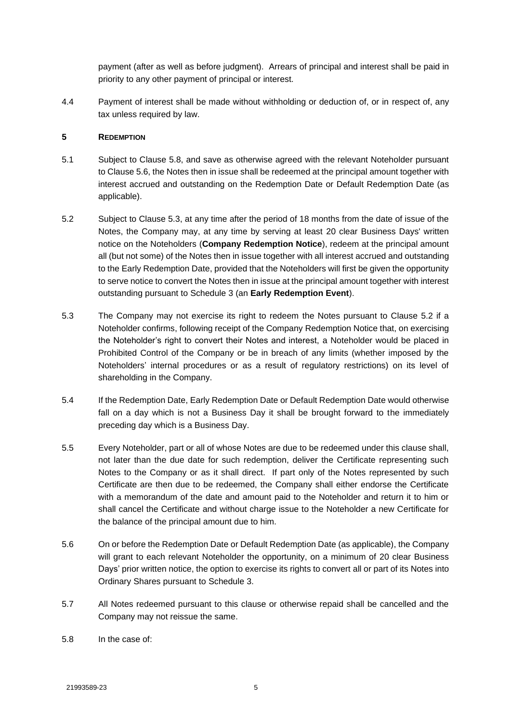payment (after as well as before judgment). Arrears of principal and interest shall be paid in priority to any other payment of principal or interest.

4.4 Payment of interest shall be made without withholding or deduction of, or in respect of, any tax unless required by law.

# **5 REDEMPTION**

- 5.1 Subject to Clause [5.8,](#page-6-0) and save as otherwise agreed with the relevant Noteholder pursuant to Clause [5.6,](#page-6-1) the Notes then in issue shall be redeemed at the principal amount together with interest accrued and outstanding on the Redemption Date or Default Redemption Date (as applicable).
- 5.2 Subject to Clause 5.3, at any time after the period of 18 months from the date of issue of the Notes, the Company may, at any time by serving at least 20 clear Business Days' written notice on the Noteholders (**Company Redemption Notice**), redeem at the principal amount all (but not some) of the Notes then in issue together with all interest accrued and outstanding to the Early Redemption Date, provided that the Noteholders will first be given the opportunity to serve notice to convert the Notes then in issue at the principal amount together with interest outstanding pursuant to Schedule 3 (an **Early Redemption Event**).
- 5.3 The Company may not exercise its right to redeem the Notes pursuant to Clause 5.2 if a Noteholder confirms, following receipt of the Company Redemption Notice that, on exercising the Noteholder's right to convert their Notes and interest, a Noteholder would be placed in Prohibited Control of the Company or be in breach of any limits (whether imposed by the Noteholders' internal procedures or as a result of regulatory restrictions) on its level of shareholding in the Company.
- 5.4 If the Redemption Date, Early Redemption Date or Default Redemption Date would otherwise fall on a day which is not a Business Day it shall be brought forward to the immediately preceding day which is a Business Day.
- 5.5 Every Noteholder, part or all of whose Notes are due to be redeemed under this clause shall, not later than the due date for such redemption, deliver the Certificate representing such Notes to the Company or as it shall direct. If part only of the Notes represented by such Certificate are then due to be redeemed, the Company shall either endorse the Certificate with a memorandum of the date and amount paid to the Noteholder and return it to him or shall cancel the Certificate and without charge issue to the Noteholder a new Certificate for the balance of the principal amount due to him.
- <span id="page-6-1"></span>5.6 On or before the Redemption Date or Default Redemption Date (as applicable), the Company will grant to each relevant Noteholder the opportunity, on a minimum of 20 clear Business Days' prior written notice, the option to exercise its rights to convert all or part of its Notes into Ordinary Shares pursuant to [Schedule](#page-17-0) 3.
- 5.7 All Notes redeemed pursuant to this clause or otherwise repaid shall be cancelled and the Company may not reissue the same.
- <span id="page-6-0"></span>5.8 In the case of: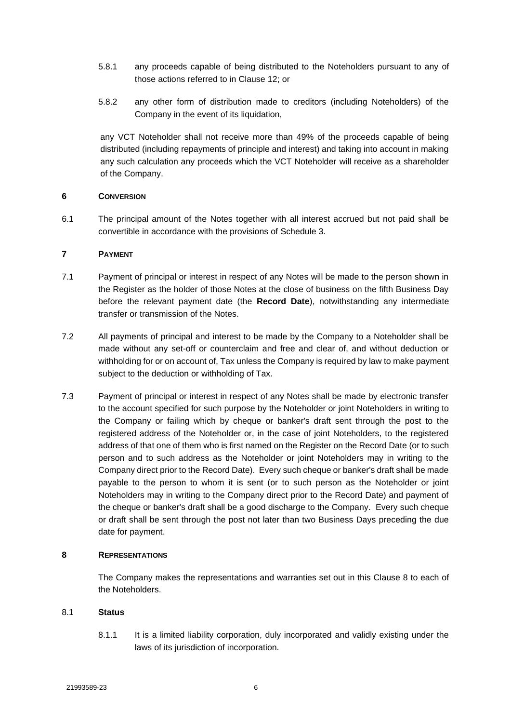- 5.8.1 any proceeds capable of being distributed to the Noteholders pursuant to any of those actions referred to in Clause 12; or
- 5.8.2 any other form of distribution made to creditors (including Noteholders) of the Company in the event of its liquidation,

any VCT Noteholder shall not receive more than 49% of the proceeds capable of being distributed (including repayments of principle and interest) and taking into account in making any such calculation any proceeds which the VCT Noteholder will receive as a shareholder of the Company.

# **6 CONVERSION**

6.1 The principal amount of the Notes together with all interest accrued but not paid shall be convertible in accordance with the provisions of [Schedule](#page-17-0) 3.

# **7 PAYMENT**

- 7.1 Payment of principal or interest in respect of any Notes will be made to the person shown in the Register as the holder of those Notes at the close of business on the fifth Business Day before the relevant payment date (the **Record Date**), notwithstanding any intermediate transfer or transmission of the Notes.
- 7.2 All payments of principal and interest to be made by the Company to a Noteholder shall be made without any set-off or counterclaim and free and clear of, and without deduction or withholding for or on account of, Tax unless the Company is required by law to make payment subject to the deduction or withholding of Tax.
- 7.3 Payment of principal or interest in respect of any Notes shall be made by electronic transfer to the account specified for such purpose by the Noteholder or joint Noteholders in writing to the Company or failing which by cheque or banker's draft sent through the post to the registered address of the Noteholder or, in the case of joint Noteholders, to the registered address of that one of them who is first named on the Register on the Record Date (or to such person and to such address as the Noteholder or joint Noteholders may in writing to the Company direct prior to the Record Date). Every such cheque or banker's draft shall be made payable to the person to whom it is sent (or to such person as the Noteholder or joint Noteholders may in writing to the Company direct prior to the Record Date) and payment of the cheque or banker's draft shall be a good discharge to the Company. Every such cheque or draft shall be sent through the post not later than two Business Days preceding the due date for payment.

#### <span id="page-7-0"></span>**8 REPRESENTATIONS**

The Company makes the representations and warranties set out in this Clause [8](#page-7-0) to each of the Noteholders.

#### 8.1 **Status**

8.1.1 It is a limited liability corporation, duly incorporated and validly existing under the laws of its jurisdiction of incorporation.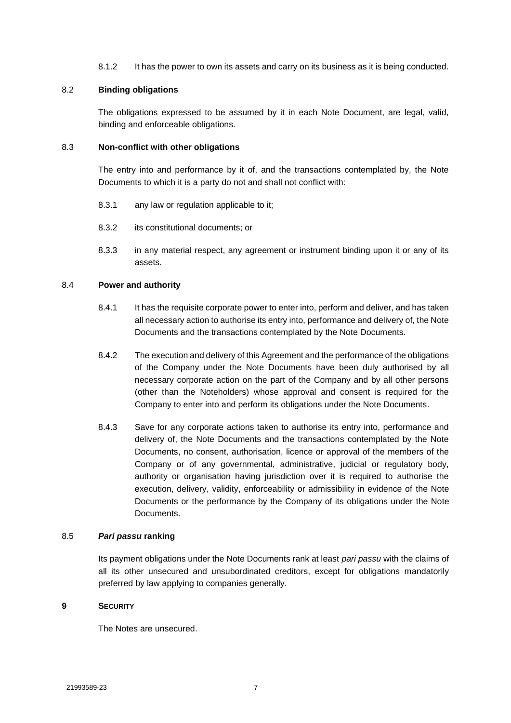8.1.2 It has the power to own its assets and carry on its business as it is being conducted.

# 8.2 **Binding obligations**

The obligations expressed to be assumed by it in each Note Document, are legal, valid, binding and enforceable obligations.

# 8.3 **Non-conflict with other obligations**

The entry into and performance by it of, and the transactions contemplated by, the Note Documents to which it is a party do not and shall not conflict with:

- 8.3.1 any law or regulation applicable to it;
- 8.3.2 its constitutional documents; or
- 8.3.3 in any material respect, any agreement or instrument binding upon it or any of its assets.

# 8.4 **Power and authority**

- 8.4.1 It has the requisite corporate power to enter into, perform and deliver, and has taken all necessary action to authorise its entry into, performance and delivery of, the Note Documents and the transactions contemplated by the Note Documents.
- 8.4.2 The execution and delivery of this Agreement and the performance of the obligations of the Company under the Note Documents have been duly authorised by all necessary corporate action on the part of the Company and by all other persons (other than the Noteholders) whose approval and consent is required for the Company to enter into and perform its obligations under the Note Documents.
- 8.4.3 Save for any corporate actions taken to authorise its entry into, performance and delivery of, the Note Documents and the transactions contemplated by the Note Documents, no consent, authorisation, licence or approval of the members of the Company or of any governmental, administrative, judicial or regulatory body, authority or organisation having jurisdiction over it is required to authorise the execution, delivery, validity, enforceability or admissibility in evidence of the Note Documents or the performance by the Company of its obligations under the Note Documents.

#### 8.5 *Pari passu* **ranking**

Its payment obligations under the Note Documents rank at least *pari passu* with the claims of all its other unsecured and unsubordinated creditors, except for obligations mandatorily preferred by law applying to companies generally.

#### **9 SECURITY**

The Notes are unsecured.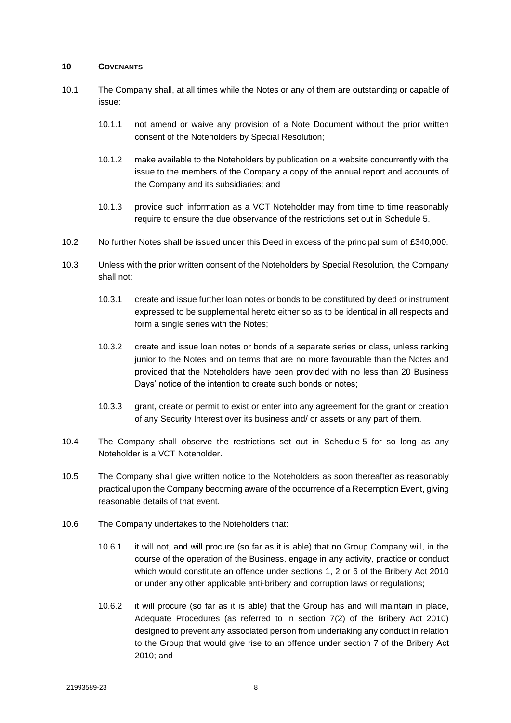#### **10 COVENANTS**

- 10.1 The Company shall, at all times while the Notes or any of them are outstanding or capable of issue:
	- 10.1.1 not amend or waive any provision of a Note Document without the prior written consent of the Noteholders by Special Resolution;
	- 10.1.2 make available to the Noteholders by publication on a website concurrently with the issue to the members of the Company a copy of the annual report and accounts of the Company and its subsidiaries; and
	- 10.1.3 provide such information as a VCT Noteholder may from time to time reasonably require to ensure the due observance of the restrictions set out in [Schedule](#page-26-0) 5.
- 10.2 No further Notes shall be issued under this Deed in excess of the principal sum of £340,000.
- 10.3 Unless with the prior written consent of the Noteholders by Special Resolution, the Company shall not:
	- 10.3.1 create and issue further loan notes or bonds to be constituted by deed or instrument expressed to be supplemental hereto either so as to be identical in all respects and form a single series with the Notes;
	- 10.3.2 create and issue loan notes or bonds of a separate series or class, unless ranking junior to the Notes and on terms that are no more favourable than the Notes and provided that the Noteholders have been provided with no less than 20 Business Days' notice of the intention to create such bonds or notes;
	- 10.3.3 grant, create or permit to exist or enter into any agreement for the grant or creation of any Security Interest over its business and/ or assets or any part of them.
- 10.4 The Company shall observe the restrictions set out in [Schedule](#page-26-0) 5 for so long as any Noteholder is a VCT Noteholder.
- 10.5 The Company shall give written notice to the Noteholders as soon thereafter as reasonably practical upon the Company becoming aware of the occurrence of a Redemption Event, giving reasonable details of that event.
- 10.6 The Company undertakes to the Noteholders that:
	- 10.6.1 it will not, and will procure (so far as it is able) that no Group Company will, in the course of the operation of the Business, engage in any activity, practice or conduct which would constitute an offence under sections 1, 2 or 6 of the Bribery Act 2010 or under any other applicable anti-bribery and corruption laws or regulations;
	- 10.6.2 it will procure (so far as it is able) that the Group has and will maintain in place, Adequate Procedures (as referred to in section 7(2) of the Bribery Act 2010) designed to prevent any associated person from undertaking any conduct in relation to the Group that would give rise to an offence under section 7 of the Bribery Act 2010; and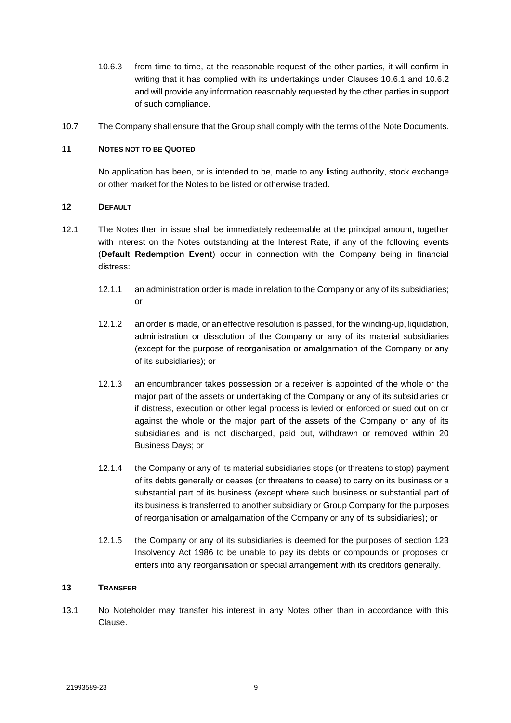- 10.6.3 from time to time, at the reasonable request of the other parties, it will confirm in writing that it has complied with its undertakings under Clauses 10.6.1 and 10.6.2 and will provide any information reasonably requested by the other parties in support of such compliance.
- 10.7 The Company shall ensure that the Group shall comply with the terms of the Note Documents.

# **11 NOTES NOT TO BE QUOTED**

No application has been, or is intended to be, made to any listing authority, stock exchange or other market for the Notes to be listed or otherwise traded.

# **12 DEFAULT**

- 12.1 The Notes then in issue shall be immediately redeemable at the principal amount, together with interest on the Notes outstanding at the Interest Rate, if any of the following events (**Default Redemption Event**) occur in connection with the Company being in financial distress:
	- 12.1.1 an administration order is made in relation to the Company or any of its subsidiaries; or
	- 12.1.2 an order is made, or an effective resolution is passed, for the winding-up, liquidation, administration or dissolution of the Company or any of its material subsidiaries (except for the purpose of reorganisation or amalgamation of the Company or any of its subsidiaries); or
	- 12.1.3 an encumbrancer takes possession or a receiver is appointed of the whole or the major part of the assets or undertaking of the Company or any of its subsidiaries or if distress, execution or other legal process is levied or enforced or sued out on or against the whole or the major part of the assets of the Company or any of its subsidiaries and is not discharged, paid out, withdrawn or removed within 20 Business Days; or
	- 12.1.4 the Company or any of its material subsidiaries stops (or threatens to stop) payment of its debts generally or ceases (or threatens to cease) to carry on its business or a substantial part of its business (except where such business or substantial part of its business is transferred to another subsidiary or Group Company for the purposes of reorganisation or amalgamation of the Company or any of its subsidiaries); or
	- 12.1.5 the Company or any of its subsidiaries is deemed for the purposes of section 123 Insolvency Act 1986 to be unable to pay its debts or compounds or proposes or enters into any reorganisation or special arrangement with its creditors generally.

# **13 TRANSFER**

13.1 No Noteholder may transfer his interest in any Notes other than in accordance with this Clause.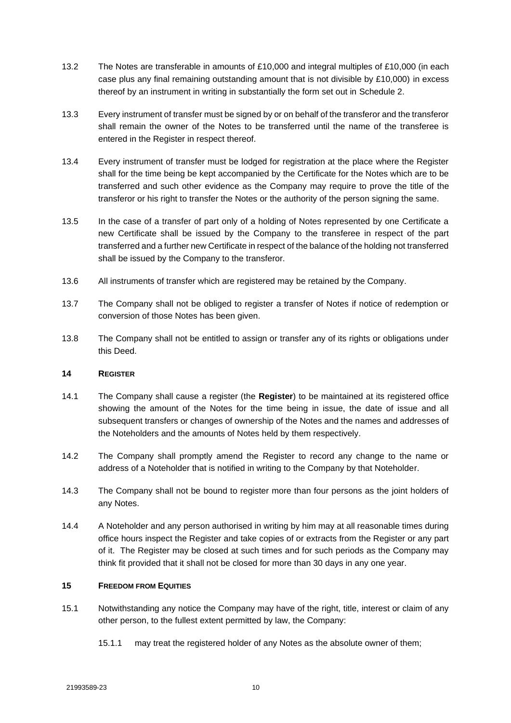- 13.2 The Notes are transferable in amounts of £10,000 and integral multiples of £10,000 (in each case plus any final remaining outstanding amount that is not divisible by  $£10,000$ ) in excess thereof by an instrument in writing in substantially the form set out in [Schedule](#page-16-0) 2.
- 13.3 Every instrument of transfer must be signed by or on behalf of the transferor and the transferor shall remain the owner of the Notes to be transferred until the name of the transferee is entered in the Register in respect thereof.
- 13.4 Every instrument of transfer must be lodged for registration at the place where the Register shall for the time being be kept accompanied by the Certificate for the Notes which are to be transferred and such other evidence as the Company may require to prove the title of the transferor or his right to transfer the Notes or the authority of the person signing the same.
- 13.5 In the case of a transfer of part only of a holding of Notes represented by one Certificate a new Certificate shall be issued by the Company to the transferee in respect of the part transferred and a further new Certificate in respect of the balance of the holding not transferred shall be issued by the Company to the transferor.
- 13.6 All instruments of transfer which are registered may be retained by the Company.
- 13.7 The Company shall not be obliged to register a transfer of Notes if notice of redemption or conversion of those Notes has been given.
- 13.8 The Company shall not be entitled to assign or transfer any of its rights or obligations under this Deed.

# **14 REGISTER**

- <span id="page-11-0"></span>14.1 The Company shall cause a register (the **Register**) to be maintained at its registered office showing the amount of the Notes for the time being in issue, the date of issue and all subsequent transfers or changes of ownership of the Notes and the names and addresses of the Noteholders and the amounts of Notes held by them respectively.
- 14.2 The Company shall promptly amend the Register to record any change to the name or address of a Noteholder that is notified in writing to the Company by that Noteholder.
- 14.3 The Company shall not be bound to register more than four persons as the joint holders of any Notes.
- 14.4 A Noteholder and any person authorised in writing by him may at all reasonable times during office hours inspect the Register and take copies of or extracts from the Register or any part of it. The Register may be closed at such times and for such periods as the Company may think fit provided that it shall not be closed for more than 30 days in any one year.

# **15 FREEDOM FROM EQUITIES**

- 15.1 Notwithstanding any notice the Company may have of the right, title, interest or claim of any other person, to the fullest extent permitted by law, the Company:
	- 15.1.1 may treat the registered holder of any Notes as the absolute owner of them;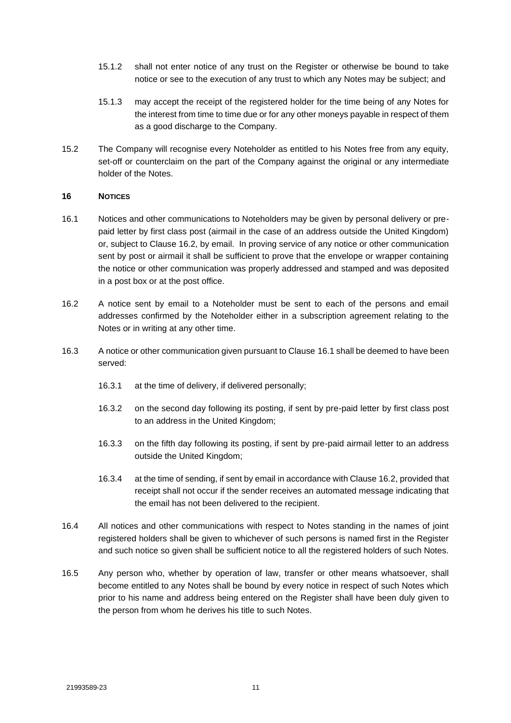- 15.1.2 shall not enter notice of any trust on the Register or otherwise be bound to take notice or see to the execution of any trust to which any Notes may be subject; and
- 15.1.3 may accept the receipt of the registered holder for the time being of any Notes for the interest from time to time due or for any other moneys payable in respect of them as a good discharge to the Company.
- 15.2 The Company will recognise every Noteholder as entitled to his Notes free from any equity, set-off or counterclaim on the part of the Company against the original or any intermediate holder of the Notes.

# <span id="page-12-1"></span>**16 NOTICES**

- <span id="page-12-0"></span>16.1 Notices and other communications to Noteholders may be given by personal delivery or prepaid letter by first class post (airmail in the case of an address outside the United Kingdom) or, subject to Clause 16.2, by email. In proving service of any notice or other communication sent by post or airmail it shall be sufficient to prove that the envelope or wrapper containing the notice or other communication was properly addressed and stamped and was deposited in a post box or at the post office.
- 16.2 A notice sent by email to a Noteholder must be sent to each of the persons and email addresses confirmed by the Noteholder either in a subscription agreement relating to the Notes or in writing at any other time.
- 16.3 A notice or other communication given pursuant to Clause [16.1](#page-12-0) shall be deemed to have been served:
	- 16.3.1 at the time of delivery, if delivered personally;
	- 16.3.2 on the second day following its posting, if sent by pre-paid letter by first class post to an address in the United Kingdom;
	- 16.3.3 on the fifth day following its posting, if sent by pre-paid airmail letter to an address outside the United Kingdom;
	- 16.3.4 at the time of sending, if sent by email in accordance with Clause 16.2, provided that receipt shall not occur if the sender receives an automated message indicating that the email has not been delivered to the recipient.
- 16.4 All notices and other communications with respect to Notes standing in the names of joint registered holders shall be given to whichever of such persons is named first in the Register and such notice so given shall be sufficient notice to all the registered holders of such Notes.
- 16.5 Any person who, whether by operation of law, transfer or other means whatsoever, shall become entitled to any Notes shall be bound by every notice in respect of such Notes which prior to his name and address being entered on the Register shall have been duly given to the person from whom he derives his title to such Notes.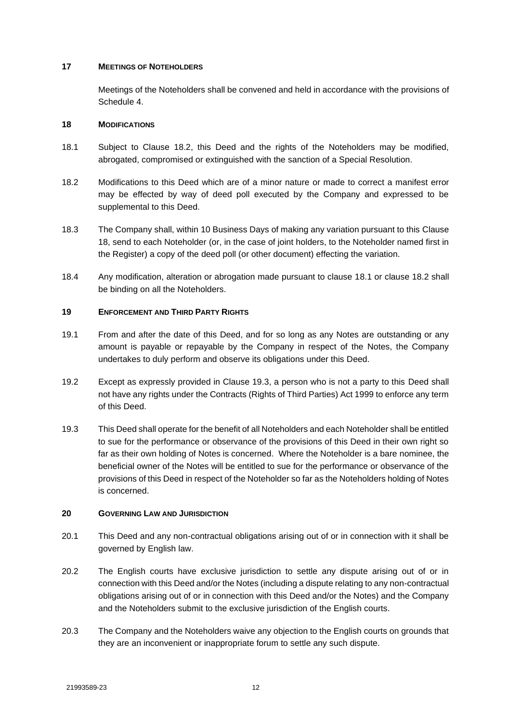# **17 MEETINGS OF NOTEHOLDERS**

Meetings of the Noteholders shall be convened and held in accordance with the provisions of [Schedule](#page-22-0) 4.

#### **18 MODIFICATIONS**

- 18.1 Subject to Clause 18.2, this Deed and the rights of the Noteholders may be modified, abrogated, compromised or extinguished with the sanction of a Special Resolution.
- 18.2 Modifications to this Deed which are of a minor nature or made to correct a manifest error may be effected by way of deed poll executed by the Company and expressed to be supplemental to this Deed.
- 18.3 The Company shall, within 10 Business Days of making any variation pursuant to this Clause 18, send to each Noteholder (or, in the case of joint holders, to the Noteholder named first in the Register) a copy of the deed poll (or other document) effecting the variation.
- 18.4 Any modification, alteration or abrogation made pursuant to clause 18.1 or clause 18.2 shall be binding on all the Noteholders.

# **19 ENFORCEMENT AND THIRD PARTY RIGHTS**

- 19.1 From and after the date of this Deed, and for so long as any Notes are outstanding or any amount is payable or repayable by the Company in respect of the Notes, the Company undertakes to duly perform and observe its obligations under this Deed.
- 19.2 Except as expressly provided in Clause 19.3, a person who is not a party to this Deed shall not have any rights under the Contracts (Rights of Third Parties) Act 1999 to enforce any term of this Deed.
- 19.3 This Deed shall operate for the benefit of all Noteholders and each Noteholder shall be entitled to sue for the performance or observance of the provisions of this Deed in their own right so far as their own holding of Notes is concerned. Where the Noteholder is a bare nominee, the beneficial owner of the Notes will be entitled to sue for the performance or observance of the provisions of this Deed in respect of the Noteholder so far as the Noteholders holding of Notes is concerned.

#### **20 GOVERNING LAW AND JURISDICTION**

- 20.1 This Deed and any non-contractual obligations arising out of or in connection with it shall be governed by English law.
- 20.2 The English courts have exclusive jurisdiction to settle any dispute arising out of or in connection with this Deed and/or the Notes (including a dispute relating to any non-contractual obligations arising out of or in connection with this Deed and/or the Notes) and the Company and the Noteholders submit to the exclusive jurisdiction of the English courts.
- 20.3 The Company and the Noteholders waive any objection to the English courts on grounds that they are an inconvenient or inappropriate forum to settle any such dispute.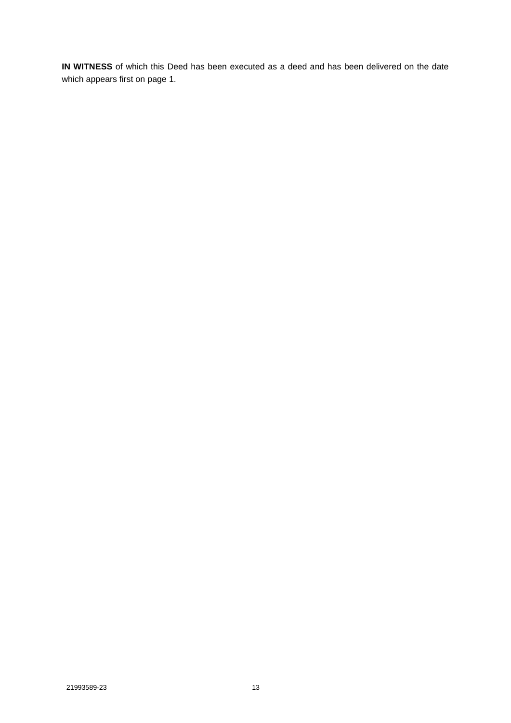**IN WITNESS** of which this Deed has been executed as a deed and has been delivered on the date which appears first on page 1.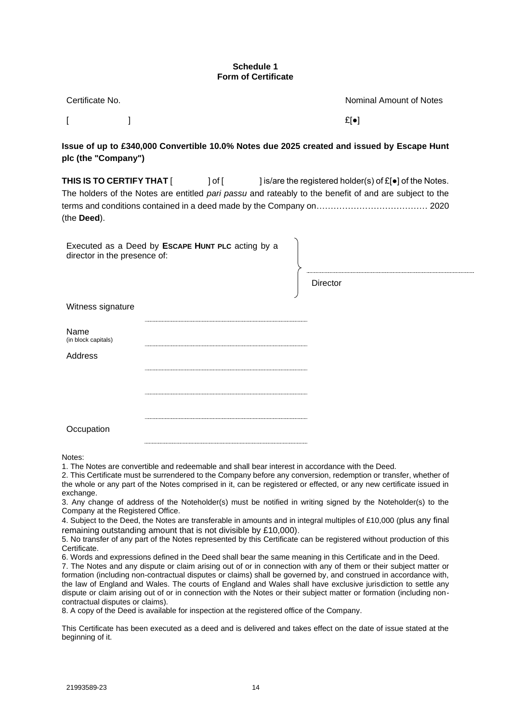#### **Schedule 1 Form of Certificate**

<span id="page-15-0"></span>

| Certificate No. | Nominal Amount of Notes |
|-----------------|-------------------------|
|                 | $E[\bullet]$            |

**Issue of up to £340,000 Convertible 10.0% Notes due 2025 created and issued by Escape Hunt plc (the "Company")**

**THIS IS TO CERTIFY THAT** [  $]$  of [  $]$  is/are the registered holder(s) of £[●] of the Notes. The holders of the Notes are entitled *pari passu* and rateably to the benefit of and are subject to the terms and conditions contained in a deed made by the Company on………………………………… 2020 (the **Deed**).

Executed as a Deed by **ESCAPE HUNT PLC** acting by a director in the presence of: **Director** 

| Name<br>(in block capitals) |  |
|-----------------------------|--|
| Address                     |  |
|                             |  |
|                             |  |
| Occupation                  |  |

Notes:

Witness signature

1. The Notes are convertible and redeemable and shall bear interest in accordance with the Deed.

2. This Certificate must be surrendered to the Company before any conversion, redemption or transfer, whether of the whole or any part of the Notes comprised in it, can be registered or effected, or any new certificate issued in exchange.

3. Any change of address of the Noteholder(s) must be notified in writing signed by the Noteholder(s) to the Company at the Registered Office.

4. Subject to the Deed, the Notes are transferable in amounts and in integral multiples of £10,000 (plus any final remaining outstanding amount that is not divisible by £10,000).

5. No transfer of any part of the Notes represented by this Certificate can be registered without production of this Certificate.

6. Words and expressions defined in the Deed shall bear the same meaning in this Certificate and in the Deed.

7. The Notes and any dispute or claim arising out of or in connection with any of them or their subject matter or formation (including non-contractual disputes or claims) shall be governed by, and construed in accordance with, the law of England and Wales. The courts of England and Wales shall have exclusive jurisdiction to settle any dispute or claim arising out of or in connection with the Notes or their subject matter or formation (including noncontractual disputes or claims).

8. A copy of the Deed is available for inspection at the registered office of the Company.

This Certificate has been executed as a deed and is delivered and takes effect on the date of issue stated at the beginning of it.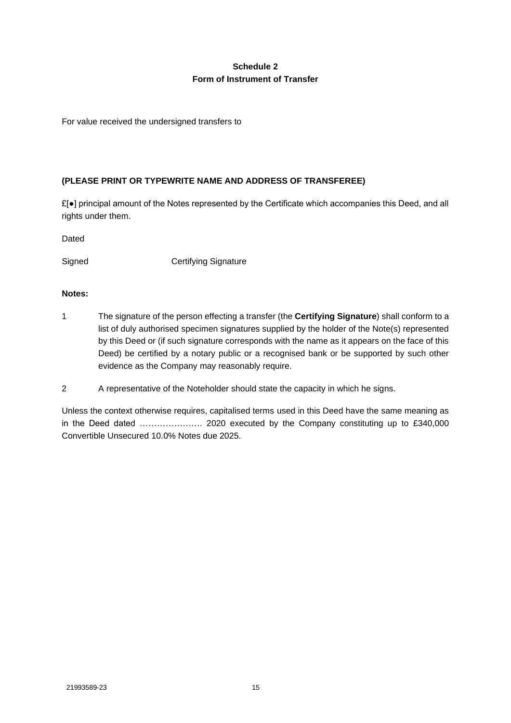# **Schedule 2 Form of Instrument of Transfer**

<span id="page-16-0"></span>For value received the undersigned transfers to

# **(PLEASE PRINT OR TYPEWRITE NAME AND ADDRESS OF TRANSFEREE)**

£[●] principal amount of the Notes represented by the Certificate which accompanies this Deed, and all rights under them.

Dated

Signed Certifying Signature

# **Notes:**

- 1 The signature of the person effecting a transfer (the **Certifying Signature**) shall conform to a list of duly authorised specimen signatures supplied by the holder of the Note(s) represented by this Deed or (if such signature corresponds with the name as it appears on the face of this Deed) be certified by a notary public or a recognised bank or be supported by such other evidence as the Company may reasonably require.
- 2 A representative of the Noteholder should state the capacity in which he signs.

Unless the context otherwise requires, capitalised terms used in this Deed have the same meaning as in the Deed dated …………………. 2020 executed by the Company constituting up to £340,000 Convertible Unsecured 10.0% Notes due 2025.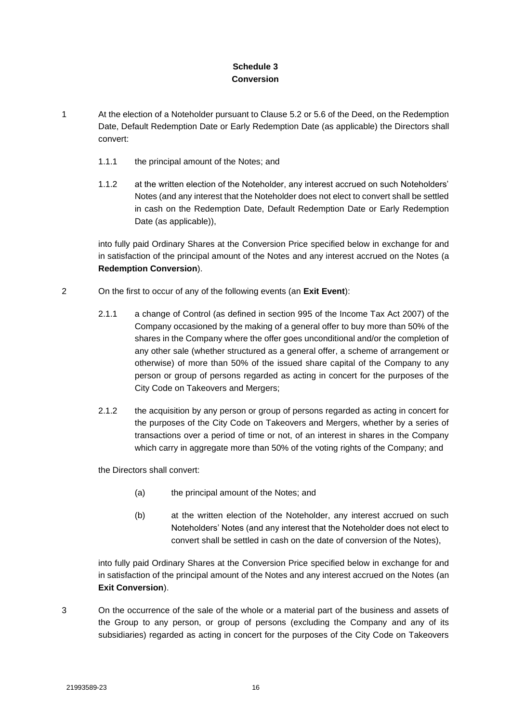# **Schedule 3 Conversion**

- <span id="page-17-0"></span>1 At the election of a Noteholder pursuant to Clause 5.2 or 5.6 of the Deed, on the Redemption Date, Default Redemption Date or Early Redemption Date (as applicable) the Directors shall convert:
	- 1.1.1 the principal amount of the Notes; and
	- 1.1.2 at the written election of the Noteholder, any interest accrued on such Noteholders' Notes (and any interest that the Noteholder does not elect to convert shall be settled in cash on the Redemption Date, Default Redemption Date or Early Redemption Date (as applicable)),

into fully paid Ordinary Shares at the Conversion Price specified below in exchange for and in satisfaction of the principal amount of the Notes and any interest accrued on the Notes (a **Redemption Conversion**).

- 2 On the first to occur of any of the following events (an **Exit Event**):
	- 2.1.1 a change of Control (as defined in section 995 of the Income Tax Act 2007) of the Company occasioned by the making of a general offer to buy more than 50% of the shares in the Company where the offer goes unconditional and/or the completion of any other sale (whether structured as a general offer, a scheme of arrangement or otherwise) of more than 50% of the issued share capital of the Company to any person or group of persons regarded as acting in concert for the purposes of the City Code on Takeovers and Mergers;
	- 2.1.2 the acquisition by any person or group of persons regarded as acting in concert for the purposes of the City Code on Takeovers and Mergers, whether by a series of transactions over a period of time or not, of an interest in shares in the Company which carry in aggregate more than 50% of the voting rights of the Company; and

the Directors shall convert:

- (a) the principal amount of the Notes; and
- (b) at the written election of the Noteholder, any interest accrued on such Noteholders' Notes (and any interest that the Noteholder does not elect to convert shall be settled in cash on the date of conversion of the Notes),

into fully paid Ordinary Shares at the Conversion Price specified below in exchange for and in satisfaction of the principal amount of the Notes and any interest accrued on the Notes (an **Exit Conversion**).

3 On the occurrence of the sale of the whole or a material part of the business and assets of the Group to any person, or group of persons (excluding the Company and any of its subsidiaries) regarded as acting in concert for the purposes of the City Code on Takeovers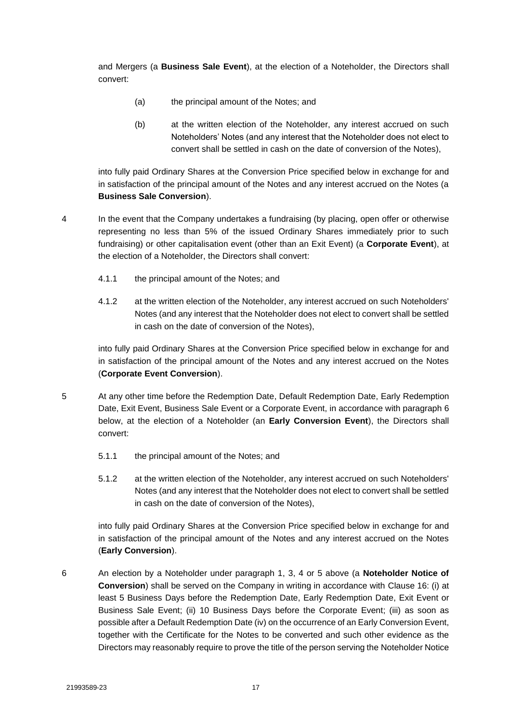and Mergers (a **Business Sale Event**), at the election of a Noteholder, the Directors shall convert:

- (a) the principal amount of the Notes; and
- (b) at the written election of the Noteholder, any interest accrued on such Noteholders' Notes (and any interest that the Noteholder does not elect to convert shall be settled in cash on the date of conversion of the Notes),

into fully paid Ordinary Shares at the Conversion Price specified below in exchange for and in satisfaction of the principal amount of the Notes and any interest accrued on the Notes (a **Business Sale Conversion**).

- 4 In the event that the Company undertakes a fundraising (by placing, open offer or otherwise representing no less than 5% of the issued Ordinary Shares immediately prior to such fundraising) or other capitalisation event (other than an Exit Event) (a **Corporate Event**), at the election of a Noteholder, the Directors shall convert:
	- 4.1.1 the principal amount of the Notes; and
	- 4.1.2 at the written election of the Noteholder, any interest accrued on such Noteholders' Notes (and any interest that the Noteholder does not elect to convert shall be settled in cash on the date of conversion of the Notes),

into fully paid Ordinary Shares at the Conversion Price specified below in exchange for and in satisfaction of the principal amount of the Notes and any interest accrued on the Notes (**Corporate Event Conversion**).

- 5 At any other time before the Redemption Date, Default Redemption Date, Early Redemption Date, Exit Event, Business Sale Event or a Corporate Event, in accordance with paragraph 6 below, at the election of a Noteholder (an **Early Conversion Event**), the Directors shall convert:
	- 5.1.1 the principal amount of the Notes; and
	- 5.1.2 at the written election of the Noteholder, any interest accrued on such Noteholders' Notes (and any interest that the Noteholder does not elect to convert shall be settled in cash on the date of conversion of the Notes),

into fully paid Ordinary Shares at the Conversion Price specified below in exchange for and in satisfaction of the principal amount of the Notes and any interest accrued on the Notes (**Early Conversion**).

6 An election by a Noteholder under paragraph 1, 3, 4 or 5 above (a **Noteholder Notice of Conversion**) shall be served on the Company in writing in accordance with Clause [16:](#page-12-1) (i) at least 5 Business Days before the Redemption Date, Early Redemption Date, Exit Event or Business Sale Event; (ii) 10 Business Days before the Corporate Event; (iii) as soon as possible after a Default Redemption Date (iv) on the occurrence of an Early Conversion Event, together with the Certificate for the Notes to be converted and such other evidence as the Directors may reasonably require to prove the title of the person serving the Noteholder Notice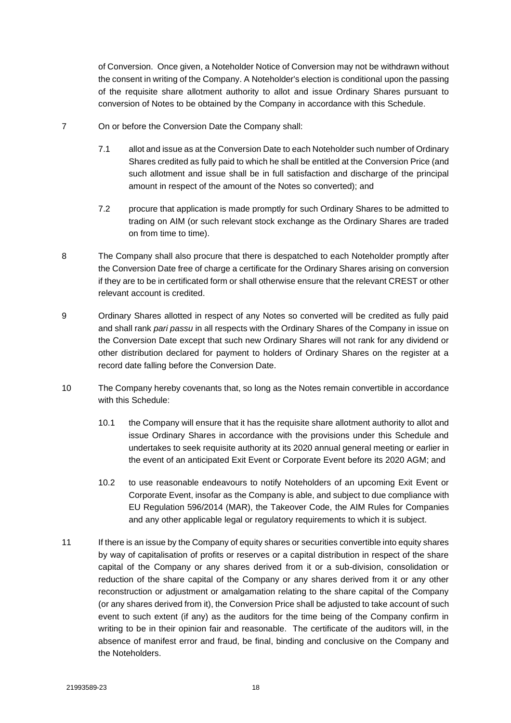of Conversion. Once given, a Noteholder Notice of Conversion may not be withdrawn without the consent in writing of the Company. A Noteholder's election is conditional upon the passing of the requisite share allotment authority to allot and issue Ordinary Shares pursuant to conversion of Notes to be obtained by the Company in accordance with this Schedule.

- 7 On or before the Conversion Date the Company shall:
	- 7.1 allot and issue as at the Conversion Date to each Noteholder such number of Ordinary Shares credited as fully paid to which he shall be entitled at the Conversion Price (and such allotment and issue shall be in full satisfaction and discharge of the principal amount in respect of the amount of the Notes so converted); and
	- 7.2 procure that application is made promptly for such Ordinary Shares to be admitted to trading on AIM (or such relevant stock exchange as the Ordinary Shares are traded on from time to time).
- 8 The Company shall also procure that there is despatched to each Noteholder promptly after the Conversion Date free of charge a certificate for the Ordinary Shares arising on conversion if they are to be in certificated form or shall otherwise ensure that the relevant CREST or other relevant account is credited.
- 9 Ordinary Shares allotted in respect of any Notes so converted will be credited as fully paid and shall rank *pari passu* in all respects with the Ordinary Shares of the Company in issue on the Conversion Date except that such new Ordinary Shares will not rank for any dividend or other distribution declared for payment to holders of Ordinary Shares on the register at a record date falling before the Conversion Date.
- 10 The Company hereby covenants that, so long as the Notes remain convertible in accordance with this Schedule:
	- 10.1 the Company will ensure that it has the requisite share allotment authority to allot and issue Ordinary Shares in accordance with the provisions under this Schedule and undertakes to seek requisite authority at its 2020 annual general meeting or earlier in the event of an anticipated Exit Event or Corporate Event before its 2020 AGM; and
	- 10.2 to use reasonable endeavours to notify Noteholders of an upcoming Exit Event or Corporate Event, insofar as the Company is able, and subject to due compliance with EU Regulation 596/2014 (MAR), the Takeover Code, the AIM Rules for Companies and any other applicable legal or regulatory requirements to which it is subject.
- 11 If there is an issue by the Company of equity shares or securities convertible into equity shares by way of capitalisation of profits or reserves or a capital distribution in respect of the share capital of the Company or any shares derived from it or a sub-division, consolidation or reduction of the share capital of the Company or any shares derived from it or any other reconstruction or adjustment or amalgamation relating to the share capital of the Company (or any shares derived from it), the Conversion Price shall be adjusted to take account of such event to such extent (if any) as the auditors for the time being of the Company confirm in writing to be in their opinion fair and reasonable. The certificate of the auditors will, in the absence of manifest error and fraud, be final, binding and conclusive on the Company and the Noteholders.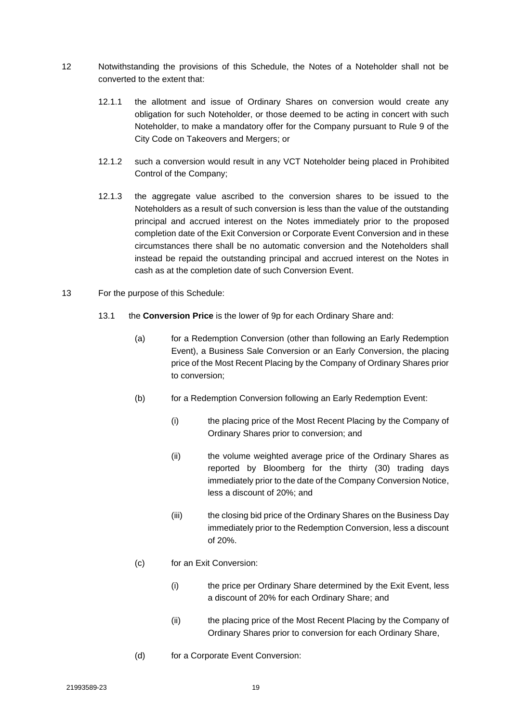- 12 Notwithstanding the provisions of this Schedule, the Notes of a Noteholder shall not be converted to the extent that:
	- 12.1.1 the allotment and issue of Ordinary Shares on conversion would create any obligation for such Noteholder, or those deemed to be acting in concert with such Noteholder, to make a mandatory offer for the Company pursuant to Rule 9 of the City Code on Takeovers and Mergers; or
	- 12.1.2 such a conversion would result in any VCT Noteholder being placed in Prohibited Control of the Company;
	- 12.1.3 the aggregate value ascribed to the conversion shares to be issued to the Noteholders as a result of such conversion is less than the value of the outstanding principal and accrued interest on the Notes immediately prior to the proposed completion date of the Exit Conversion or Corporate Event Conversion and in these circumstances there shall be no automatic conversion and the Noteholders shall instead be repaid the outstanding principal and accrued interest on the Notes in cash as at the completion date of such Conversion Event.
- 13 For the purpose of this Schedule:
	- 13.1 the **Conversion Price** is the lower of 9p for each Ordinary Share and:
		- (a) for a Redemption Conversion (other than following an Early Redemption Event), a Business Sale Conversion or an Early Conversion, the placing price of the Most Recent Placing by the Company of Ordinary Shares prior to conversion;
		- (b) for a Redemption Conversion following an Early Redemption Event:
			- (i) the placing price of the Most Recent Placing by the Company of Ordinary Shares prior to conversion; and
			- (ii) the volume weighted average price of the Ordinary Shares as reported by Bloomberg for the thirty (30) trading days immediately prior to the date of the Company Conversion Notice, less a discount of 20%; and
			- (iii) the closing bid price of the Ordinary Shares on the Business Day immediately prior to the Redemption Conversion, less a discount of 20%.
		- (c) for an Exit Conversion:
			- (i) the price per Ordinary Share determined by the Exit Event, less a discount of 20% for each Ordinary Share; and
			- (ii) the placing price of the Most Recent Placing by the Company of Ordinary Shares prior to conversion for each Ordinary Share,
		- (d) for a Corporate Event Conversion: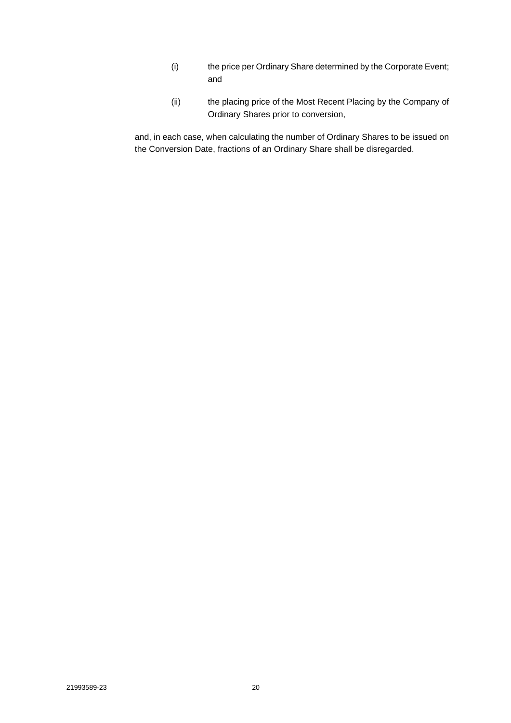- (i) the price per Ordinary Share determined by the Corporate Event; and
- (ii) the placing price of the Most Recent Placing by the Company of Ordinary Shares prior to conversion,

and, in each case, when calculating the number of Ordinary Shares to be issued on the Conversion Date, fractions of an Ordinary Share shall be disregarded.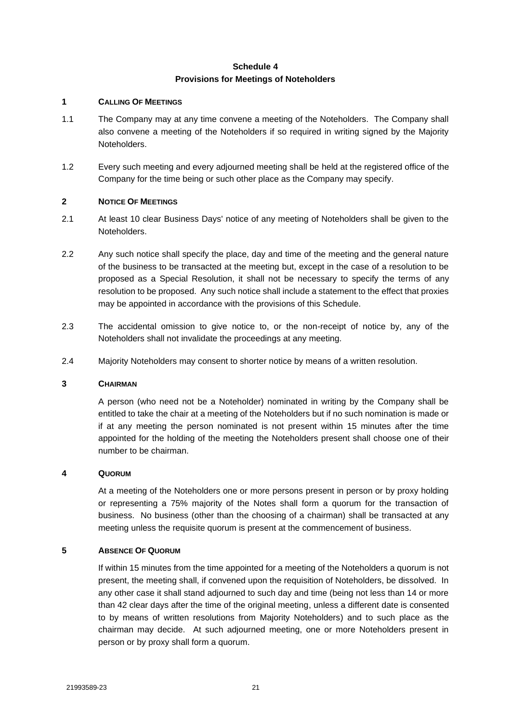# **Schedule 4 Provisions for Meetings of Noteholders**

# <span id="page-22-0"></span>**1 CALLING OF MEETINGS**

- 1.1 The Company may at any time convene a meeting of the Noteholders. The Company shall also convene a meeting of the Noteholders if so required in writing signed by the Majority Noteholders.
- 1.2 Every such meeting and every adjourned meeting shall be held at the registered office of the Company for the time being or such other place as the Company may specify.

# **2 NOTICE OF MEETINGS**

- 2.1 At least 10 clear Business Days' notice of any meeting of Noteholders shall be given to the Noteholders.
- 2.2 Any such notice shall specify the place, day and time of the meeting and the general nature of the business to be transacted at the meeting but, except in the case of a resolution to be proposed as a Special Resolution, it shall not be necessary to specify the terms of any resolution to be proposed. Any such notice shall include a statement to the effect that proxies may be appointed in accordance with the provisions of this Schedule.
- 2.3 The accidental omission to give notice to, or the non-receipt of notice by, any of the Noteholders shall not invalidate the proceedings at any meeting.
- 2.4 Majority Noteholders may consent to shorter notice by means of a written resolution.

## **3 CHAIRMAN**

A person (who need not be a Noteholder) nominated in writing by the Company shall be entitled to take the chair at a meeting of the Noteholders but if no such nomination is made or if at any meeting the person nominated is not present within 15 minutes after the time appointed for the holding of the meeting the Noteholders present shall choose one of their number to be chairman.

#### **4 QUORUM**

At a meeting of the Noteholders one or more persons present in person or by proxy holding or representing a 75% majority of the Notes shall form a quorum for the transaction of business. No business (other than the choosing of a chairman) shall be transacted at any meeting unless the requisite quorum is present at the commencement of business.

#### **5 ABSENCE OF QUORUM**

If within 15 minutes from the time appointed for a meeting of the Noteholders a quorum is not present, the meeting shall, if convened upon the requisition of Noteholders, be dissolved. In any other case it shall stand adjourned to such day and time (being not less than 14 or more than 42 clear days after the time of the original meeting, unless a different date is consented to by means of written resolutions from Majority Noteholders) and to such place as the chairman may decide. At such adjourned meeting, one or more Noteholders present in person or by proxy shall form a quorum.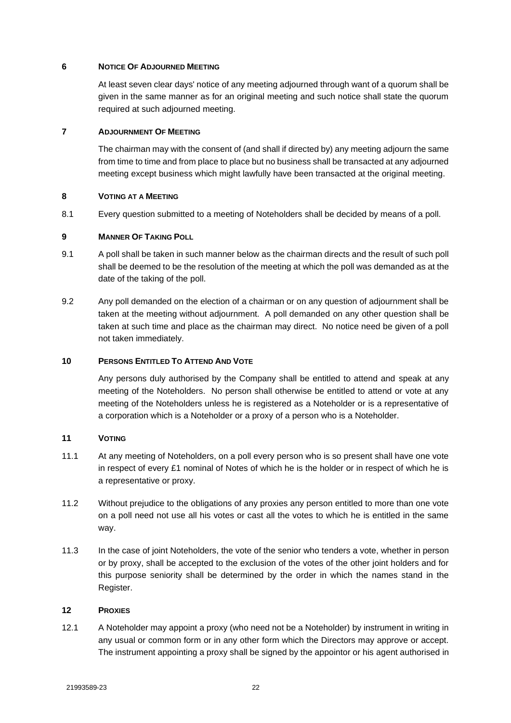# **6 NOTICE OF ADJOURNED MEETING**

At least seven clear days' notice of any meeting adjourned through want of a quorum shall be given in the same manner as for an original meeting and such notice shall state the quorum required at such adjourned meeting.

# **7 ADJOURNMENT OF MEETING**

The chairman may with the consent of (and shall if directed by) any meeting adjourn the same from time to time and from place to place but no business shall be transacted at any adjourned meeting except business which might lawfully have been transacted at the original meeting.

# **8 VOTING AT A MEETING**

8.1 Every question submitted to a meeting of Noteholders shall be decided by means of a poll.

# **9 MANNER OF TAKING POLL**

- 9.1 A poll shall be taken in such manner below as the chairman directs and the result of such poll shall be deemed to be the resolution of the meeting at which the poll was demanded as at the date of the taking of the poll.
- 9.2 Any poll demanded on the election of a chairman or on any question of adjournment shall be taken at the meeting without adjournment. A poll demanded on any other question shall be taken at such time and place as the chairman may direct. No notice need be given of a poll not taken immediately.

#### **10 PERSONS ENTITLED TO ATTEND AND VOTE**

Any persons duly authorised by the Company shall be entitled to attend and speak at any meeting of the Noteholders. No person shall otherwise be entitled to attend or vote at any meeting of the Noteholders unless he is registered as a Noteholder or is a representative of a corporation which is a Noteholder or a proxy of a person who is a Noteholder.

## **11 VOTING**

- 11.1 At any meeting of Noteholders, on a poll every person who is so present shall have one vote in respect of every £1 nominal of Notes of which he is the holder or in respect of which he is a representative or proxy.
- 11.2 Without prejudice to the obligations of any proxies any person entitled to more than one vote on a poll need not use all his votes or cast all the votes to which he is entitled in the same way.
- 11.3 In the case of joint Noteholders, the vote of the senior who tenders a vote, whether in person or by proxy, shall be accepted to the exclusion of the votes of the other joint holders and for this purpose seniority shall be determined by the order in which the names stand in the Register.

#### **12 PROXIES**

12.1 A Noteholder may appoint a proxy (who need not be a Noteholder) by instrument in writing in any usual or common form or in any other form which the Directors may approve or accept. The instrument appointing a proxy shall be signed by the appointor or his agent authorised in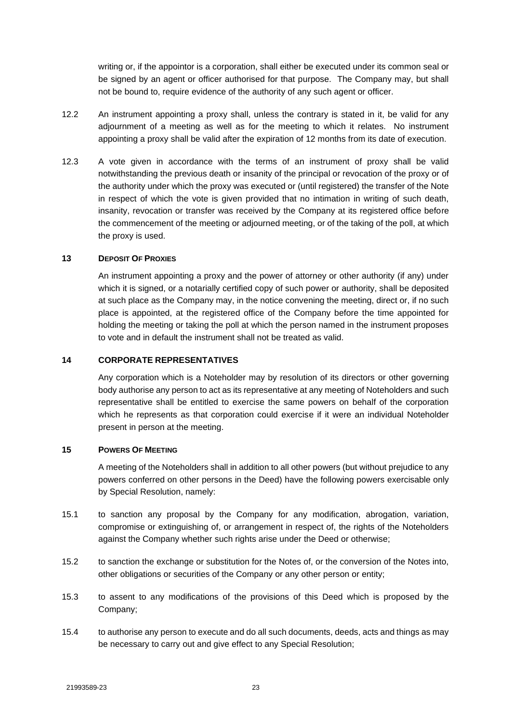writing or, if the appointor is a corporation, shall either be executed under its common seal or be signed by an agent or officer authorised for that purpose. The Company may, but shall not be bound to, require evidence of the authority of any such agent or officer.

- 12.2 An instrument appointing a proxy shall, unless the contrary is stated in it, be valid for any adjournment of a meeting as well as for the meeting to which it relates. No instrument appointing a proxy shall be valid after the expiration of 12 months from its date of execution.
- 12.3 A vote given in accordance with the terms of an instrument of proxy shall be valid notwithstanding the previous death or insanity of the principal or revocation of the proxy or of the authority under which the proxy was executed or (until registered) the transfer of the Note in respect of which the vote is given provided that no intimation in writing of such death, insanity, revocation or transfer was received by the Company at its registered office before the commencement of the meeting or adjourned meeting, or of the taking of the poll, at which the proxy is used.

# **13 DEPOSIT OF PROXIES**

An instrument appointing a proxy and the power of attorney or other authority (if any) under which it is signed, or a notarially certified copy of such power or authority, shall be deposited at such place as the Company may, in the notice convening the meeting, direct or, if no such place is appointed, at the registered office of the Company before the time appointed for holding the meeting or taking the poll at which the person named in the instrument proposes to vote and in default the instrument shall not be treated as valid.

#### **14 CORPORATE REPRESENTATIVES**

Any corporation which is a Noteholder may by resolution of its directors or other governing body authorise any person to act as its representative at any meeting of Noteholders and such representative shall be entitled to exercise the same powers on behalf of the corporation which he represents as that corporation could exercise if it were an individual Noteholder present in person at the meeting.

# **15 POWERS OF MEETING**

A meeting of the Noteholders shall in addition to all other powers (but without prejudice to any powers conferred on other persons in the Deed) have the following powers exercisable only by Special Resolution, namely:

- 15.1 to sanction any proposal by the Company for any modification, abrogation, variation, compromise or extinguishing of, or arrangement in respect of, the rights of the Noteholders against the Company whether such rights arise under the Deed or otherwise;
- 15.2 to sanction the exchange or substitution for the Notes of, or the conversion of the Notes into, other obligations or securities of the Company or any other person or entity;
- 15.3 to assent to any modifications of the provisions of this Deed which is proposed by the Company;
- 15.4 to authorise any person to execute and do all such documents, deeds, acts and things as may be necessary to carry out and give effect to any Special Resolution;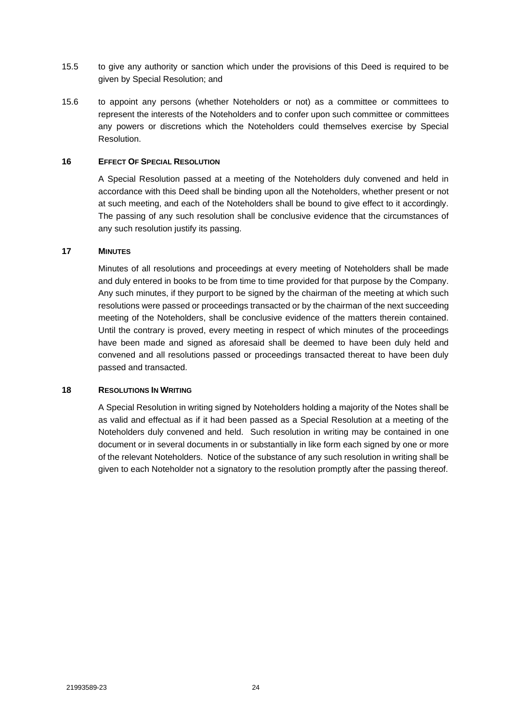- 15.5 to give any authority or sanction which under the provisions of this Deed is required to be given by Special Resolution; and
- 15.6 to appoint any persons (whether Noteholders or not) as a committee or committees to represent the interests of the Noteholders and to confer upon such committee or committees any powers or discretions which the Noteholders could themselves exercise by Special Resolution.

#### **16 EFFECT OF SPECIAL RESOLUTION**

A Special Resolution passed at a meeting of the Noteholders duly convened and held in accordance with this Deed shall be binding upon all the Noteholders, whether present or not at such meeting, and each of the Noteholders shall be bound to give effect to it accordingly. The passing of any such resolution shall be conclusive evidence that the circumstances of any such resolution justify its passing.

#### **17 MINUTES**

Minutes of all resolutions and proceedings at every meeting of Noteholders shall be made and duly entered in books to be from time to time provided for that purpose by the Company. Any such minutes, if they purport to be signed by the chairman of the meeting at which such resolutions were passed or proceedings transacted or by the chairman of the next succeeding meeting of the Noteholders, shall be conclusive evidence of the matters therein contained. Until the contrary is proved, every meeting in respect of which minutes of the proceedings have been made and signed as aforesaid shall be deemed to have been duly held and convened and all resolutions passed or proceedings transacted thereat to have been duly passed and transacted.

# **18 RESOLUTIONS IN WRITING**

A Special Resolution in writing signed by Noteholders holding a majority of the Notes shall be as valid and effectual as if it had been passed as a Special Resolution at a meeting of the Noteholders duly convened and held. Such resolution in writing may be contained in one document or in several documents in or substantially in like form each signed by one or more of the relevant Noteholders. Notice of the substance of any such resolution in writing shall be given to each Noteholder not a signatory to the resolution promptly after the passing thereof.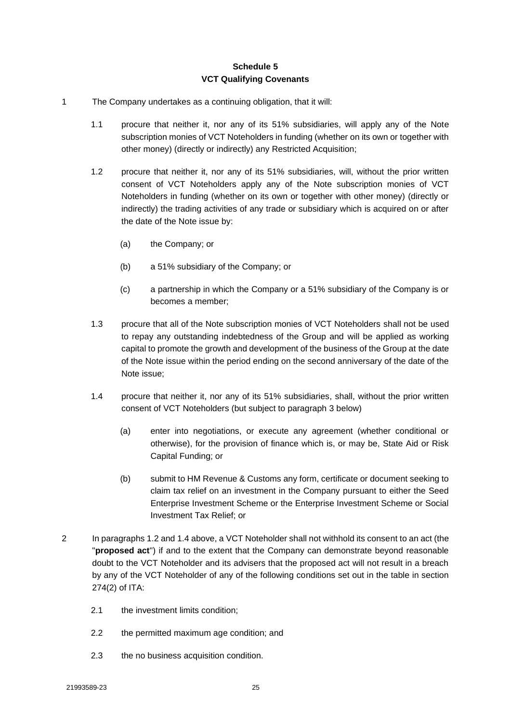# **Schedule 5 VCT Qualifying Covenants**

- <span id="page-26-0"></span>1 The Company undertakes as a continuing obligation, that it will:
	- 1.1 procure that neither it, nor any of its 51% subsidiaries, will apply any of the Note subscription monies of VCT Noteholders in funding (whether on its own or together with other money) (directly or indirectly) any Restricted Acquisition;
	- 1.2 procure that neither it, nor any of its 51% subsidiaries, will, without the prior written consent of VCT Noteholders apply any of the Note subscription monies of VCT Noteholders in funding (whether on its own or together with other money) (directly or indirectly) the trading activities of any trade or subsidiary which is acquired on or after the date of the Note issue by:
		- (a) the Company; or
		- (b) a 51% subsidiary of the Company; or
		- (c) a partnership in which the Company or a 51% subsidiary of the Company is or becomes a member;
	- 1.3 procure that all of the Note subscription monies of VCT Noteholders shall not be used to repay any outstanding indebtedness of the Group and will be applied as working capital to promote the growth and development of the business of the Group at the date of the Note issue within the period ending on the second anniversary of the date of the Note issue;
	- 1.4 procure that neither it, nor any of its 51% subsidiaries, shall, without the prior written consent of VCT Noteholders (but subject to paragraph 3 below)
		- (a) enter into negotiations, or execute any agreement (whether conditional or otherwise), for the provision of finance which is, or may be, State Aid or Risk Capital Funding; or
		- (b) submit to HM Revenue & Customs any form, certificate or document seeking to claim tax relief on an investment in the Company pursuant to either the Seed Enterprise Investment Scheme or the Enterprise Investment Scheme or Social Investment Tax Relief; or
- 2 In paragraphs 1.2 and 1.4 above, a VCT Noteholder shall not withhold its consent to an act (the "**proposed act**") if and to the extent that the Company can demonstrate beyond reasonable doubt to the VCT Noteholder and its advisers that the proposed act will not result in a breach by any of the VCT Noteholder of any of the following conditions set out in the table in section 274(2) of ITA:
	- 2.1 the investment limits condition;
	- 2.2 the permitted maximum age condition; and
	- 2.3 the no business acquisition condition.
	- 21993589-23 25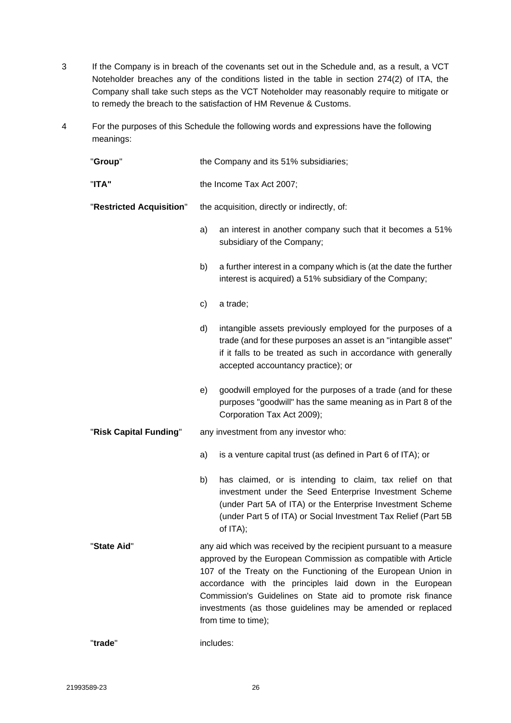- 3 If the Company is in breach of the covenants set out in the Schedule and, as a result, a VCT Noteholder breaches any of the conditions listed in the table in section 274(2) of ITA, the Company shall take such steps as the VCT Noteholder may reasonably require to mitigate or to remedy the breach to the satisfaction of HM Revenue & Customs.
- 4 For the purposes of this Schedule the following words and expressions have the following meanings:

| "Group"                  | the Company and its 51% subsidiaries;                                                                                                                                                                                                                                                                                                                                                                                  |  |  |  |
|--------------------------|------------------------------------------------------------------------------------------------------------------------------------------------------------------------------------------------------------------------------------------------------------------------------------------------------------------------------------------------------------------------------------------------------------------------|--|--|--|
| "ITA"                    | the Income Tax Act 2007;                                                                                                                                                                                                                                                                                                                                                                                               |  |  |  |
| "Restricted Acquisition" | the acquisition, directly or indirectly, of:                                                                                                                                                                                                                                                                                                                                                                           |  |  |  |
|                          | an interest in another company such that it becomes a 51%<br>a)<br>subsidiary of the Company;                                                                                                                                                                                                                                                                                                                          |  |  |  |
|                          | b)<br>a further interest in a company which is (at the date the further<br>interest is acquired) a 51% subsidiary of the Company;                                                                                                                                                                                                                                                                                      |  |  |  |
|                          | a trade;<br>c)                                                                                                                                                                                                                                                                                                                                                                                                         |  |  |  |
|                          | intangible assets previously employed for the purposes of a<br>d)<br>trade (and for these purposes an asset is an "intangible asset"<br>if it falls to be treated as such in accordance with generally<br>accepted accountancy practice); or                                                                                                                                                                           |  |  |  |
|                          | goodwill employed for the purposes of a trade (and for these<br>e)<br>purposes "goodwill" has the same meaning as in Part 8 of the<br>Corporation Tax Act 2009);                                                                                                                                                                                                                                                       |  |  |  |
| "Risk Capital Funding"   | any investment from any investor who:                                                                                                                                                                                                                                                                                                                                                                                  |  |  |  |
|                          | is a venture capital trust (as defined in Part 6 of ITA); or<br>a)                                                                                                                                                                                                                                                                                                                                                     |  |  |  |
|                          | has claimed, or is intending to claim, tax relief on that<br>b)<br>investment under the Seed Enterprise Investment Scheme<br>(under Part 5A of ITA) or the Enterprise Investment Scheme<br>(under Part 5 of ITA) or Social Investment Tax Relief (Part 5B<br>of $ITA);$                                                                                                                                                |  |  |  |
| "State Aid"              | any aid which was received by the recipient pursuant to a measure<br>approved by the European Commission as compatible with Article<br>107 of the Treaty on the Functioning of the European Union in<br>accordance with the principles laid down in the European<br>Commission's Guidelines on State aid to promote risk finance<br>investments (as those guidelines may be amended or replaced<br>from time to time); |  |  |  |
| "trade"                  | includes:                                                                                                                                                                                                                                                                                                                                                                                                              |  |  |  |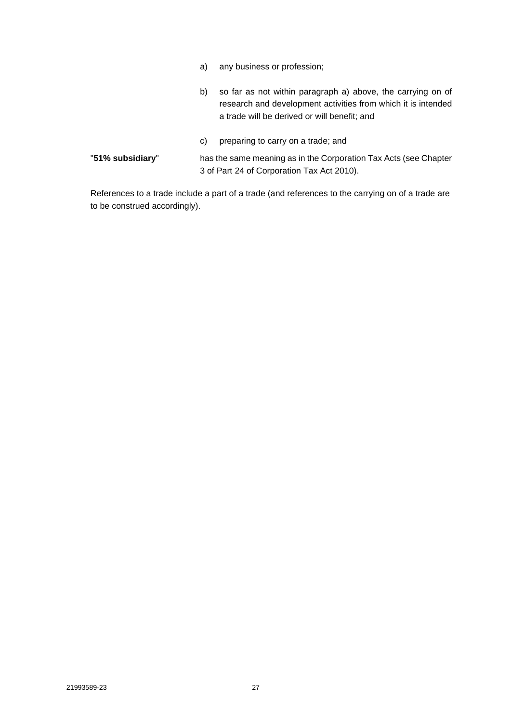- b) so far as not within paragraph a) above, the carrying on of research and development activities from which it is intended a trade will be derived or will benefit; and
- c) preparing to carry on a trade; and "**51% subsidiary**" has the same meaning as in the Corporation Tax Acts (see Chapter 3 of Part 24 of Corporation Tax Act 2010).

References to a trade include a part of a trade (and references to the carrying on of a trade are to be construed accordingly).